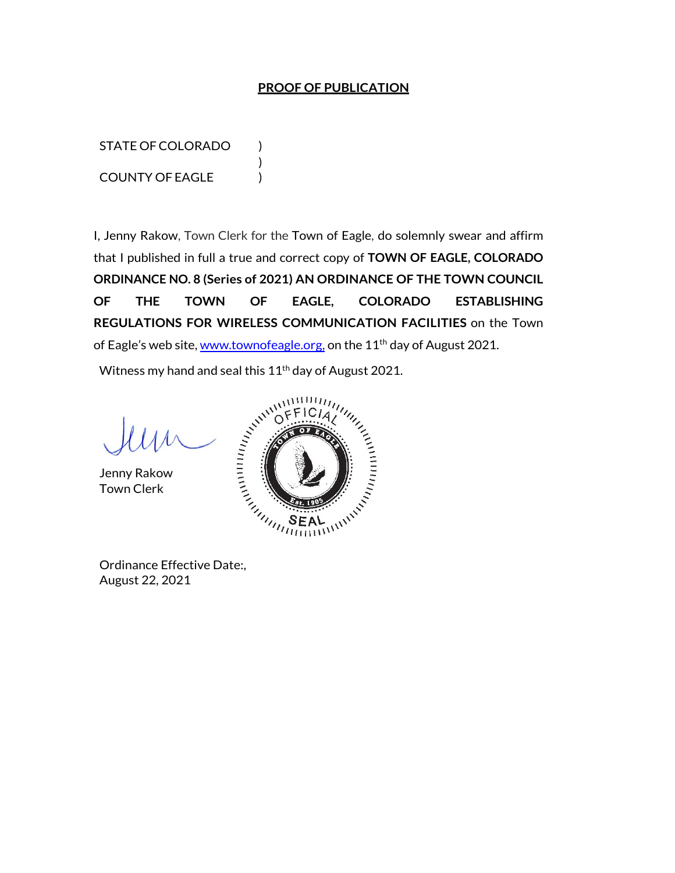## **PROOF OF PUBLICATION**

STATE OF COLORADO ) COUNTY OF EAGLE )

I, Jenny Rakow, Town Clerk for the Town of Eagle, do solemnly swear and affirm that I published in full a true and correct copy of **TOWN OF EAGLE, COLORADO ORDINANCE NO. 8 (Series of 2021) AN ORDINANCE OF THE TOWN COUNCIL OF THE TOWN OF EAGLE, COLORADO ESTABLISHING REGULATIONS FOR WIRELESS COMMUNICATION FACILITIES** on the Town of Eagle's web site, www.townofeagle.org, on the 11<sup>th</sup> day of August 2021.

Witness my hand and seal this  $11<sup>th</sup>$  day of August 2021.

)

Jenny Rakow Town Clerk



August 22, 2021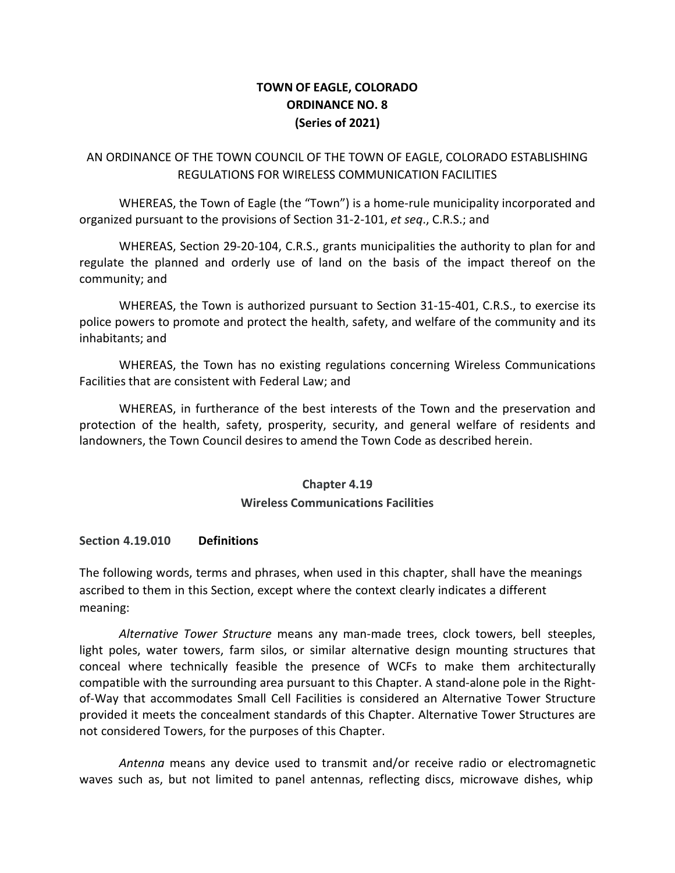# **TOWN OF EAGLE, COLORADO ORDINANCE NO. 8 (Series of 2021)**

## AN ORDINANCE OF THE TOWN COUNCIL OF THE TOWN OF EAGLE, COLORADO ESTABLISHING REGULATIONS FOR WIRELESS COMMUNICATION FACILITIES

WHEREAS, the Town of Eagle (the "Town") is a home-rule municipality incorporated and organized pursuant to the provisions of Section 31-2-101, *et seq*., C.R.S.; and

WHEREAS, Section 29-20-104, C.R.S., grants municipalities the authority to plan for and regulate the planned and orderly use of land on the basis of the impact thereof on the community; and

WHEREAS, the Town is authorized pursuant to Section 31-15-401, C.R.S., to exercise its police powers to promote and protect the health, safety, and welfare of the community and its inhabitants; and

WHEREAS, the Town has no existing regulations concerning Wireless Communications Facilities that are consistent with Federal Law; and

WHEREAS, in furtherance of the best interests of the Town and the preservation and protection of the health, safety, prosperity, security, and general welfare of residents and landowners, the Town Council desires to amend the Town Code as described herein.

### **Chapter 4.19**

### **Wireless Communications Facilities**

### **Section 4.19.010 Definitions**

The following words, terms and phrases, when used in this chapter, shall have the meanings ascribed to them in this Section, except where the context clearly indicates a different meaning:

*Alternative Tower Structure* means any man-made trees, clock towers, bell steeples, light poles, water towers, farm silos, or similar alternative design mounting structures that conceal where technically feasible the presence of WCFs to make them architecturally compatible with the surrounding area pursuant to this Chapter. A stand-alone pole in the Rightof-Way that accommodates Small Cell Facilities is considered an Alternative Tower Structure provided it meets the concealment standards of this Chapter. Alternative Tower Structures are not considered Towers, for the purposes of this Chapter.

*Antenna* means any device used to transmit and/or receive radio or electromagnetic waves such as, but not limited to panel antennas, reflecting discs, microwave dishes, whip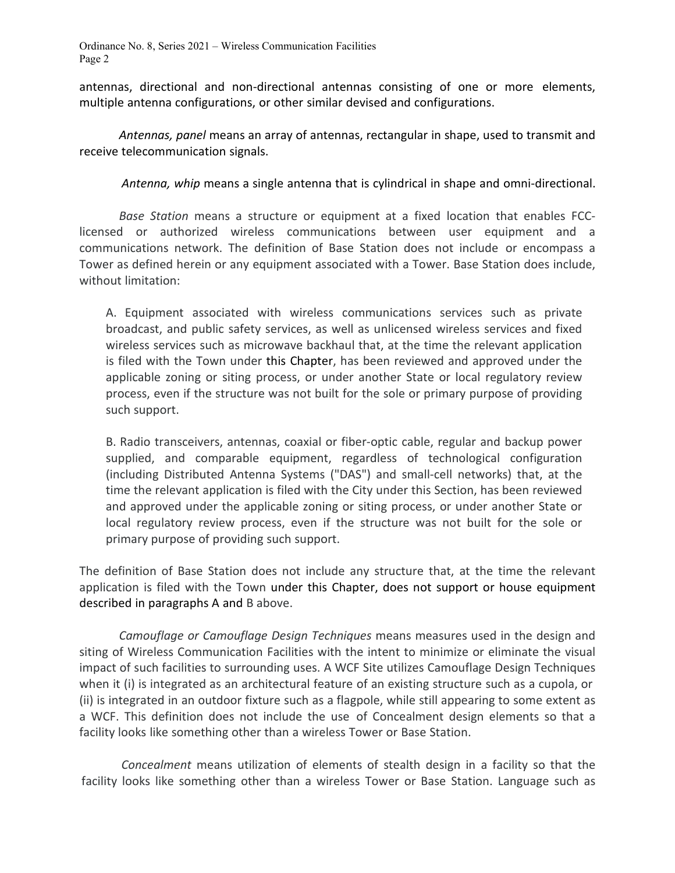antennas, directional and non-directional antennas consisting of one or more elements, multiple antenna configurations, or other similar devised and configurations.

*Antennas, panel* means an array of antennas, rectangular in shape, used to transmit and receive telecommunication signals.

*Antenna, whip* means a single antenna that is cylindrical in shape and omni-directional.

*Base Station* means a structure or equipment at a fixed location that enables FCClicensed or authorized wireless communications between user equipment and a communications network. The definition of Base Station does not include or encompass a Tower as defined herein or any equipment associated with a Tower. Base Station does include, without limitation:

A. Equipment associated with wireless communications services such as private broadcast, and public safety services, as well as unlicensed wireless services and fixed wireless services such as microwave backhaul that, at the time the relevant application is filed with the Town under this Chapter, has been reviewed and approved under the applicable zoning or siting process, or under another State or local regulatory review process, even if the structure was not built for the sole or primary purpose of providing such support.

B. Radio transceivers, antennas, coaxial or fiber-optic cable, regular and backup power supplied, and comparable equipment, regardless of technological configuration (including Distributed Antenna Systems ("DAS") and small-cell networks) that, at the time the relevant application is filed with the City under this Section, has been reviewed and approved under the applicable zoning or siting process, or under another State or local regulatory review process, even if the structure was not built for the sole or primary purpose of providing such support.

The definition of Base Station does not include any structure that, at the time the relevant application is filed with the Town under this Chapter, does not support or house equipment described in paragraphs A and B above.

*Camouflage or Camouflage Design Techniques* means measures used in the design and siting of Wireless Communication Facilities with the intent to minimize or eliminate the visual impact of such facilities to surrounding uses. A WCF Site utilizes Camouflage Design Techniques when it (i) is integrated as an architectural feature of an existing structure such as a cupola, or (ii) is integrated in an outdoor fixture such as a flagpole, while still appearing to some extent as a WCF. This definition does not include the use of Concealment design elements so that a facility looks like something other than a wireless Tower or Base Station.

*Concealment* means utilization of elements of stealth design in a facility so that the facility looks like something other than a wireless Tower or Base Station. Language such as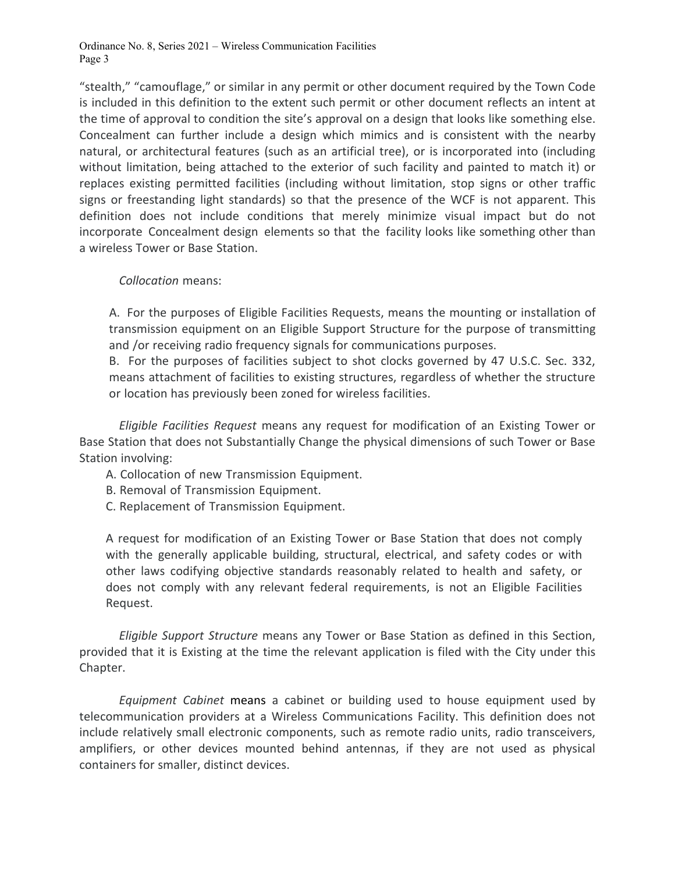"stealth," "camouflage," or similar in any permit or other document required by the Town Code is included in this definition to the extent such permit or other document reflects an intent at the time of approval to condition the site's approval on a design that looks like something else. Concealment can further include a design which mimics and is consistent with the nearby natural, or architectural features (such as an artificial tree), or is incorporated into (including without limitation, being attached to the exterior of such facility and painted to match it) or replaces existing permitted facilities (including without limitation, stop signs or other traffic signs or freestanding light standards) so that the presence of the WCF is not apparent. This definition does not include conditions that merely minimize visual impact but do not incorporate Concealment design elements so that the facility looks like something other than a wireless Tower or Base Station.

#### *Collocation* means:

A. For the purposes of Eligible Facilities Requests, means the mounting or installation of transmission equipment on an Eligible Support Structure for the purpose of transmitting and /or receiving radio frequency signals for communications purposes.

B. For the purposes of facilities subject to shot clocks governed by 47 U.S.C. Sec. 332, means attachment of facilities to existing structures, regardless of whether the structure or location has previously been zoned for wireless facilities.

*Eligible Facilities Request* means any request for modification of an Existing Tower or Base Station that does not Substantially Change the physical dimensions of such Tower or Base Station involving:

- A. Collocation of new Transmission Equipment.
- B. Removal of Transmission Equipment.
- C. Replacement of Transmission Equipment.

A request for modification of an Existing Tower or Base Station that does not comply with the generally applicable building, structural, electrical, and safety codes or with other laws codifying objective standards reasonably related to health and safety, or does not comply with any relevant federal requirements, is not an Eligible Facilities Request.

*Eligible Support Structure* means any Tower or Base Station as defined in this Section, provided that it is Existing at the time the relevant application is filed with the City under this Chapter.

*Equipment Cabinet* means a cabinet or building used to house equipment used by telecommunication providers at a Wireless Communications Facility. This definition does not include relatively small electronic components, such as remote radio units, radio transceivers, amplifiers, or other devices mounted behind antennas, if they are not used as physical containers for smaller, distinct devices.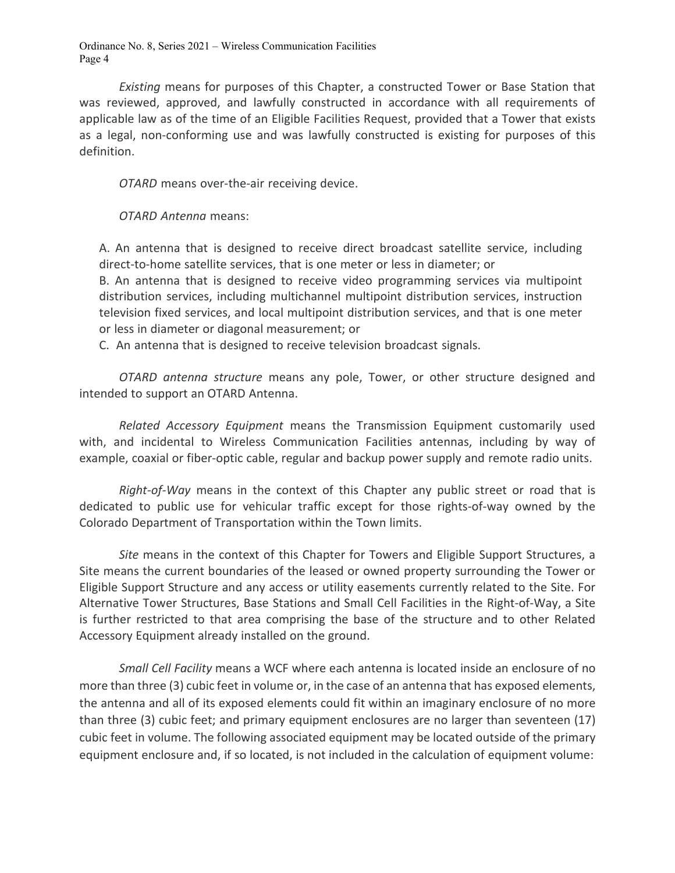*Existing* means for purposes of this Chapter, a constructed Tower or Base Station that was reviewed, approved, and lawfully constructed in accordance with all requirements of applicable law as of the time of an Eligible Facilities Request, provided that a Tower that exists as a legal, non-conforming use and was lawfully constructed is existing for purposes of this definition.

*OTARD* means over-the-air receiving device.

*OTARD Antenna* means:

A. An antenna that is designed to receive direct broadcast satellite service, including direct-to-home satellite services, that is one meter or less in diameter; or

B. An antenna that is designed to receive video programming services via multipoint distribution services, including multichannel multipoint distribution services, instruction television fixed services, and local multipoint distribution services, and that is one meter or less in diameter or diagonal measurement; or

C. An antenna that is designed to receive television broadcast signals.

*OTARD antenna structure* means any pole, Tower, or other structure designed and intended to support an OTARD Antenna.

*Related Accessory Equipment* means the Transmission Equipment customarily used with, and incidental to Wireless Communication Facilities antennas, including by way of example, coaxial or fiber-optic cable, regular and backup power supply and remote radio units.

*Right-of-Way* means in the context of this Chapter any public street or road that is dedicated to public use for vehicular traffic except for those rights-of-way owned by the Colorado Department of Transportation within the Town limits.

*Site* means in the context of this Chapter for Towers and Eligible Support Structures, a Site means the current boundaries of the leased or owned property surrounding the Tower or Eligible Support Structure and any access or utility easements currently related to the Site. For Alternative Tower Structures, Base Stations and Small Cell Facilities in the Right-of-Way, a Site is further restricted to that area comprising the base of the structure and to other Related Accessory Equipment already installed on the ground.

*Small Cell Facility* means a WCF where each antenna is located inside an enclosure of no more than three (3) cubic feet in volume or, in the case of an antenna that has exposed elements, the antenna and all of its exposed elements could fit within an imaginary enclosure of no more than three (3) cubic feet; and primary equipment enclosures are no larger than seventeen (17) cubic feet in volume. The following associated equipment may be located outside of the primary equipment enclosure and, if so located, is not included in the calculation of equipment volume: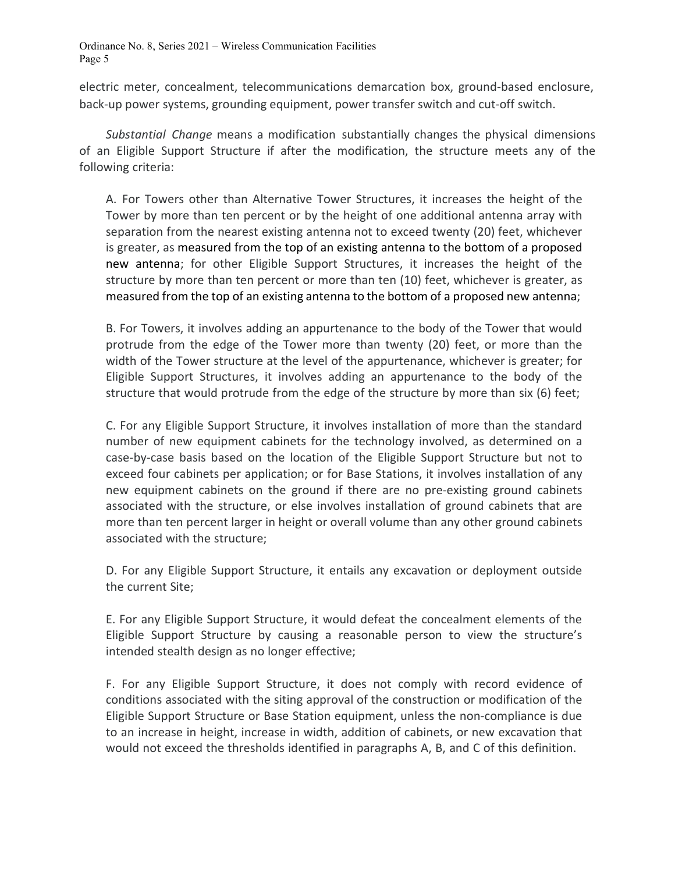electric meter, concealment, telecommunications demarcation box, ground-based enclosure, back-up power systems, grounding equipment, power transfer switch and cut-off switch.

*Substantial Change* means a modification substantially changes the physical dimensions of an Eligible Support Structure if after the modification, the structure meets any of the following criteria:

A. For Towers other than Alternative Tower Structures, it increases the height of the Tower by more than ten percent or by the height of one additional antenna array with separation from the nearest existing antenna not to exceed twenty (20) feet, whichever is greater, as measured from the top of an existing antenna to the bottom of a proposed new antenna; for other Eligible Support Structures, it increases the height of the structure by more than ten percent or more than ten (10) feet, whichever is greater, as measured from the top of an existing antenna to the bottom of a proposed new antenna;

B. For Towers, it involves adding an appurtenance to the body of the Tower that would protrude from the edge of the Tower more than twenty (20) feet, or more than the width of the Tower structure at the level of the appurtenance, whichever is greater; for Eligible Support Structures, it involves adding an appurtenance to the body of the structure that would protrude from the edge of the structure by more than six (6) feet;

C. For any Eligible Support Structure, it involves installation of more than the standard number of new equipment cabinets for the technology involved, as determined on a case-by-case basis based on the location of the Eligible Support Structure but not to exceed four cabinets per application; or for Base Stations, it involves installation of any new equipment cabinets on the ground if there are no pre-existing ground cabinets associated with the structure, or else involves installation of ground cabinets that are more than ten percent larger in height or overall volume than any other ground cabinets associated with the structure;

D. For any Eligible Support Structure, it entails any excavation or deployment outside the current Site;

E. For any Eligible Support Structure, it would defeat the concealment elements of the Eligible Support Structure by causing a reasonable person to view the structure's intended stealth design as no longer effective;

F. For any Eligible Support Structure, it does not comply with record evidence of conditions associated with the siting approval of the construction or modification of the Eligible Support Structure or Base Station equipment, unless the non-compliance is due to an increase in height, increase in width, addition of cabinets, or new excavation that would not exceed the thresholds identified in paragraphs A, B, and C of this definition.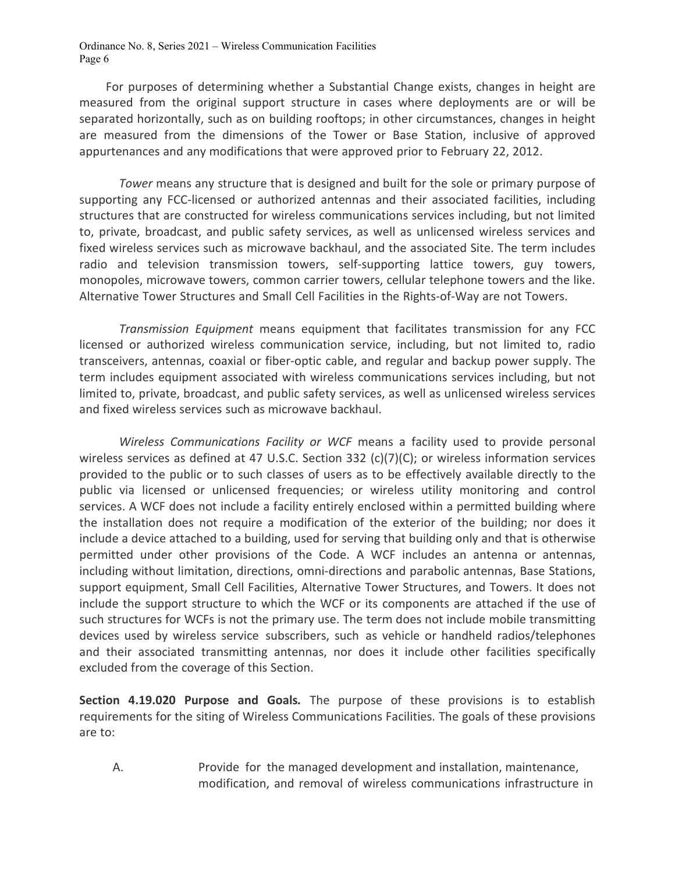For purposes of determining whether a Substantial Change exists, changes in height are measured from the original support structure in cases where deployments are or will be separated horizontally, such as on building rooftops; in other circumstances, changes in height are measured from the dimensions of the Tower or Base Station, inclusive of approved appurtenances and any modifications that were approved prior to February 22, 2012.

*Tower* means any structure that is designed and built for the sole or primary purpose of supporting any FCC-licensed or authorized antennas and their associated facilities, including structures that are constructed for wireless communications services including, but not limited to, private, broadcast, and public safety services, as well as unlicensed wireless services and fixed wireless services such as microwave backhaul, and the associated Site. The term includes radio and television transmission towers, self-supporting lattice towers, guy towers, monopoles, microwave towers, common carrier towers, cellular telephone towers and the like. Alternative Tower Structures and Small Cell Facilities in the Rights-of-Way are not Towers.

*Transmission Equipment* means equipment that facilitates transmission for any FCC licensed or authorized wireless communication service, including, but not limited to, radio transceivers, antennas, coaxial or fiber-optic cable, and regular and backup power supply. The term includes equipment associated with wireless communications services including, but not limited to, private, broadcast, and public safety services, as well as unlicensed wireless services and fixed wireless services such as microwave backhaul.

*Wireless Communications Facility or WCF* means a facility used to provide personal wireless services as defined at 47 U.S.C. Section 332 (c)(7)(C); or wireless information services provided to the public or to such classes of users as to be effectively available directly to the public via licensed or unlicensed frequencies; or wireless utility monitoring and control services. A WCF does not include a facility entirely enclosed within a permitted building where the installation does not require a modification of the exterior of the building; nor does it include a device attached to a building, used for serving that building only and that is otherwise permitted under other provisions of the Code. A WCF includes an antenna or antennas, including without limitation, directions, omni-directions and parabolic antennas, Base Stations, support equipment, Small Cell Facilities, Alternative Tower Structures, and Towers. It does not include the support structure to which the WCF or its components are attached if the use of such structures for WCFs is not the primary use. The term does not include mobile transmitting devices used by wireless service subscribers, such as vehicle or handheld radios/telephones and their associated transmitting antennas, nor does it include other facilities specifically excluded from the coverage of this Section.

**Section 4.19.020 Purpose and Goals***.* The purpose of these provisions is to establish requirements for the siting of Wireless Communications Facilities. The goals of these provisions are to:

A. Provide for the managed development and installation, maintenance, modification, and removal of wireless communications infrastructure in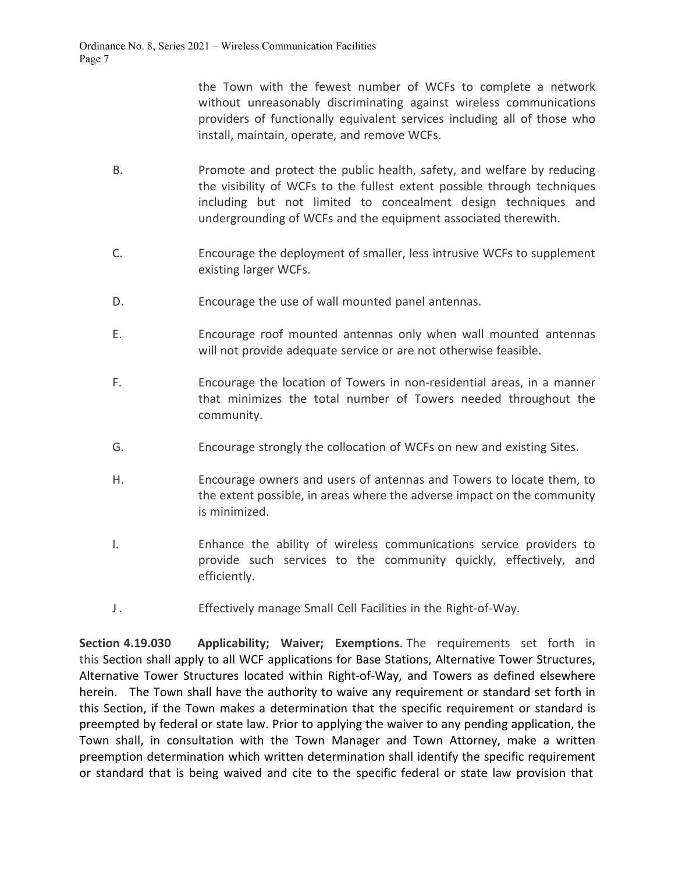the Town with the fewest number of WCFs to complete a network without unreasonably discriminating against wireless communications providers of functionally equivalent services including all of those who install, maintain, operate, and remove WCFs.

- B. Promote and protect the public health, safety, and welfare by reducing the visibility of WCFs to the fullest extent possible through techniques including but not limited to concealment design techniques and undergrounding of WCFs and the equipment associated therewith.
- C. Encourage the deployment of smaller, less intrusive WCFs to supplement existing larger WCFs.
- D. Encourage the use of wall mounted panel antennas.
- E. Encourage roof mounted antennas only when wall mounted antennas will not provide adequate service or are not otherwise feasible.
- F. Encourage the location of Towers in non-residential areas, in a manner that minimizes the total number of Towers needed throughout the community.
- G. Encourage strongly the collocation of WCFs on new and existing Sites.
- H. Encourage owners and users of antennas and Towers to locate them, to the extent possible, in areas where the adverse impact on the community is minimized.
- I. Enhance the ability of wireless communications service providers to provide such services to the community quickly, effectively, and efficiently.
- J . Effectively manage Small Cell Facilities in the Right-of-Way.

**Section 4.19.030 Applicability; Waiver; Exemptions**. The requirements set forth in this Section shall apply to all WCF applications for Base Stations, Alternative Tower Structures, Alternative Tower Structures located within Right-of-Way, and Towers as defined elsewhere herein. The Town shall have the authority to waive any requirement or standard set forth in this Section, if the Town makes a determination that the specific requirement or standard is preempted by federal or state law. Prior to applying the waiver to any pending application, the Town shall, in consultation with the Town Manager and Town Attorney, make a written preemption determination which written determination shall identify the specific requirement or standard that is being waived and cite to the specific federal or state law provision that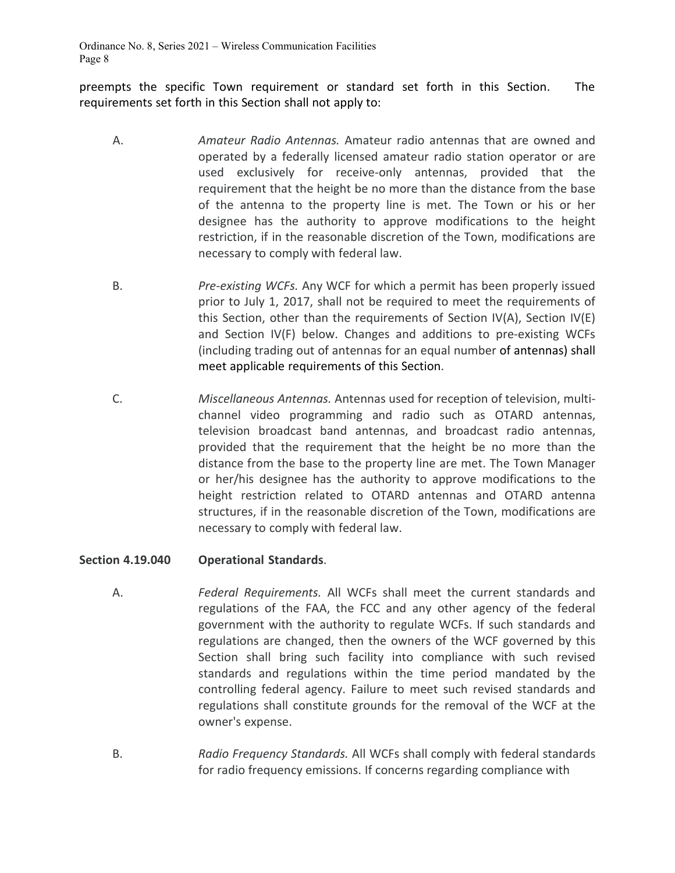preempts the specific Town requirement or standard set forth in this Section. The requirements set forth in this Section shall not apply to:

- A. *Amateur Radio Antennas.* Amateur radio antennas that are owned and operated by a federally licensed amateur radio station operator or are used exclusively for receive-only antennas, provided that the requirement that the height be no more than the distance from the base of the antenna to the property line is met. The Town or his or her designee has the authority to approve modifications to the height restriction, if in the reasonable discretion of the Town, modifications are necessary to comply with federal law.
- B. *Pre-existing WCFs.* Any WCF for which a permit has been properly issued prior to July 1, 2017, shall not be required to meet the requirements of this Section, other than the requirements of Section IV(A), Section IV(E) and Section IV(F) below. Changes and additions to pre-existing WCFs (including trading out of antennas for an equal number of antennas) shall meet applicable requirements of this Section.
- C. *Miscellaneous Antennas.* Antennas used for reception of television, multichannel video programming and radio such as OTARD antennas, television broadcast band antennas, and broadcast radio antennas, provided that the requirement that the height be no more than the distance from the base to the property line are met. The Town Manager or her/his designee has the authority to approve modifications to the height restriction related to OTARD antennas and OTARD antenna structures, if in the reasonable discretion of the Town, modifications are necessary to comply with federal law.

### **Section 4.19.040 Operational Standards**.

- A. *Federal Requirements.* All WCFs shall meet the current standards and regulations of the FAA, the FCC and any other agency of the federal government with the authority to regulate WCFs. If such standards and regulations are changed, then the owners of the WCF governed by this Section shall bring such facility into compliance with such revised standards and regulations within the time period mandated by the controlling federal agency. Failure to meet such revised standards and regulations shall constitute grounds for the removal of the WCF at the owner's expense.
- B. *Radio Frequency Standards.* All WCFs shall comply with federal standards for radio frequency emissions. If concerns regarding compliance with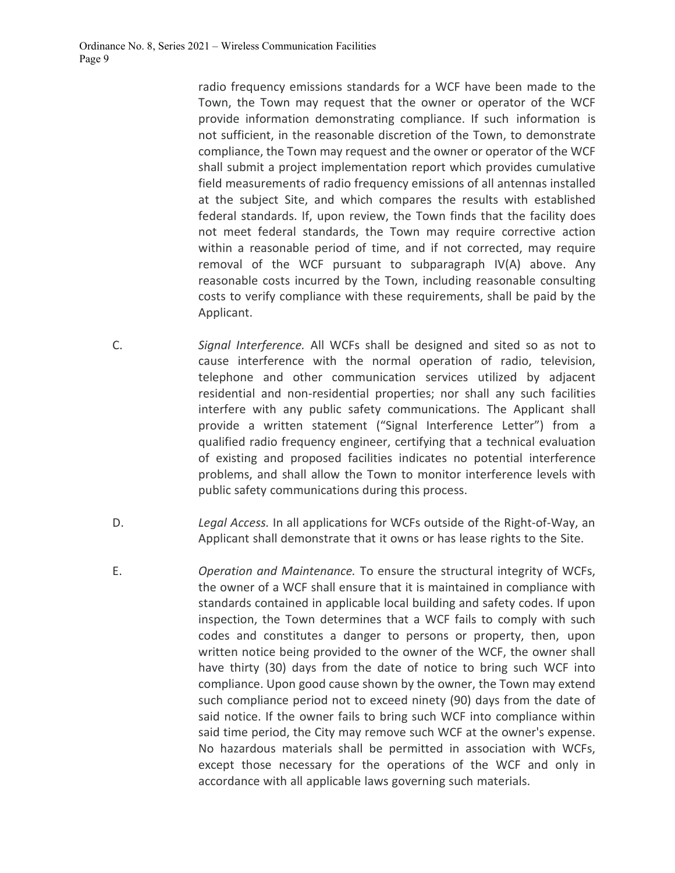radio frequency emissions standards for a WCF have been made to the Town, the Town may request that the owner or operator of the WCF provide information demonstrating compliance. If such information is not sufficient, in the reasonable discretion of the Town, to demonstrate compliance, the Town may request and the owner or operator of the WCF shall submit a project implementation report which provides cumulative field measurements of radio frequency emissions of all antennas installed at the subject Site, and which compares the results with established federal standards. If, upon review, the Town finds that the facility does not meet federal standards, the Town may require corrective action within a reasonable period of time, and if not corrected, may require removal of the WCF pursuant to subparagraph IV(A) above. Any reasonable costs incurred by the Town, including reasonable consulting costs to verify compliance with these requirements, shall be paid by the Applicant.

- C. *Signal Interference.* All WCFs shall be designed and sited so as not to cause interference with the normal operation of radio, television, telephone and other communication services utilized by adjacent residential and non-residential properties; nor shall any such facilities interfere with any public safety communications. The Applicant shall provide a written statement ("Signal Interference Letter") from a qualified radio frequency engineer, certifying that a technical evaluation of existing and proposed facilities indicates no potential interference problems, and shall allow the Town to monitor interference levels with public safety communications during this process.
- D. *Legal Access.* In all applications for WCFs outside of the Right-of-Way, an Applicant shall demonstrate that it owns or has lease rights to the Site.
- E. *Operation and Maintenance.* To ensure the structural integrity of WCFs, the owner of a WCF shall ensure that it is maintained in compliance with standards contained in applicable local building and safety codes. If upon inspection, the Town determines that a WCF fails to comply with such codes and constitutes a danger to persons or property, then, upon written notice being provided to the owner of the WCF, the owner shall have thirty (30) days from the date of notice to bring such WCF into compliance. Upon good cause shown by the owner, the Town may extend such compliance period not to exceed ninety (90) days from the date of said notice. If the owner fails to bring such WCF into compliance within said time period, the City may remove such WCF at the owner's expense. No hazardous materials shall be permitted in association with WCFs, except those necessary for the operations of the WCF and only in accordance with all applicable laws governing such materials.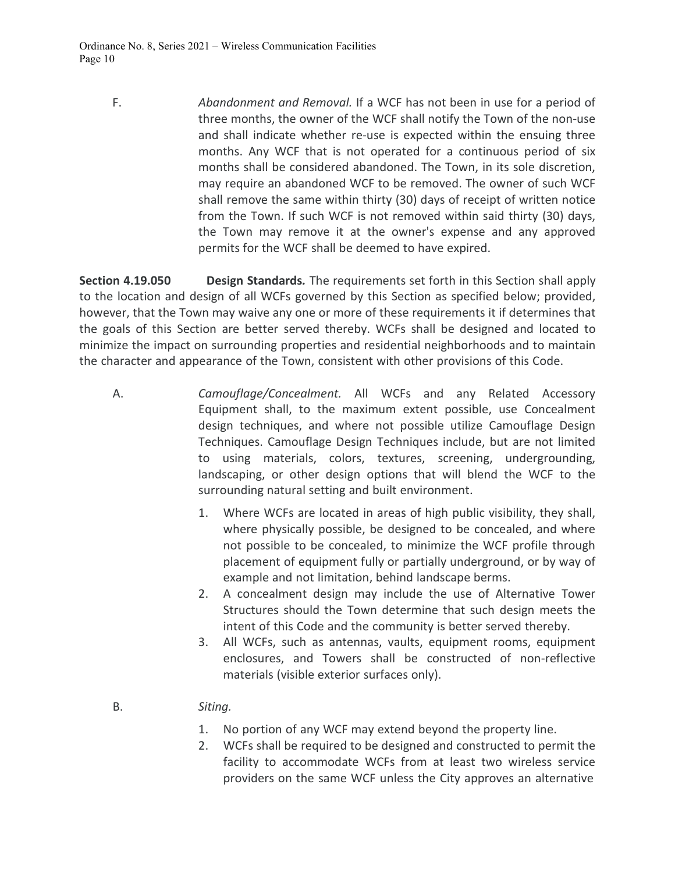F. *Abandonment and Removal.* If a WCF has not been in use for a period of three months, the owner of the WCF shall notify the Town of the non-use and shall indicate whether re-use is expected within the ensuing three months. Any WCF that is not operated for a continuous period of six months shall be considered abandoned. The Town, in its sole discretion, may require an abandoned WCF to be removed. The owner of such WCF shall remove the same within thirty (30) days of receipt of written notice from the Town. If such WCF is not removed within said thirty (30) days, the Town may remove it at the owner's expense and any approved permits for the WCF shall be deemed to have expired.

**Section 4.19.050 Design Standards***.* The requirements set forth in this Section shall apply to the location and design of all WCFs governed by this Section as specified below; provided, however, that the Town may waive any one or more of these requirements it if determines that the goals of this Section are better served thereby. WCFs shall be designed and located to minimize the impact on surrounding properties and residential neighborhoods and to maintain the character and appearance of the Town, consistent with other provisions of this Code.

- A. *Camouflage/Concealment.* All WCFs and any Related Accessory Equipment shall, to the maximum extent possible, use Concealment design techniques, and where not possible utilize Camouflage Design Techniques. Camouflage Design Techniques include, but are not limited to using materials, colors, textures, screening, undergrounding, landscaping, or other design options that will blend the WCF to the surrounding natural setting and built environment.
	- 1. Where WCFs are located in areas of high public visibility, they shall, where physically possible, be designed to be concealed, and where not possible to be concealed, to minimize the WCF profile through placement of equipment fully or partially underground, or by way of example and not limitation, behind landscape berms.
	- 2. A concealment design may include the use of Alternative Tower Structures should the Town determine that such design meets the intent of this Code and the community is better served thereby.
	- 3. All WCFs, such as antennas, vaults, equipment rooms, equipment enclosures, and Towers shall be constructed of non-reflective materials (visible exterior surfaces only).
	- B. *Siting.*
		- 1. No portion of any WCF may extend beyond the property line.
		- 2. WCFs shall be required to be designed and constructed to permit the facility to accommodate WCFs from at least two wireless service providers on the same WCF unless the City approves an alternative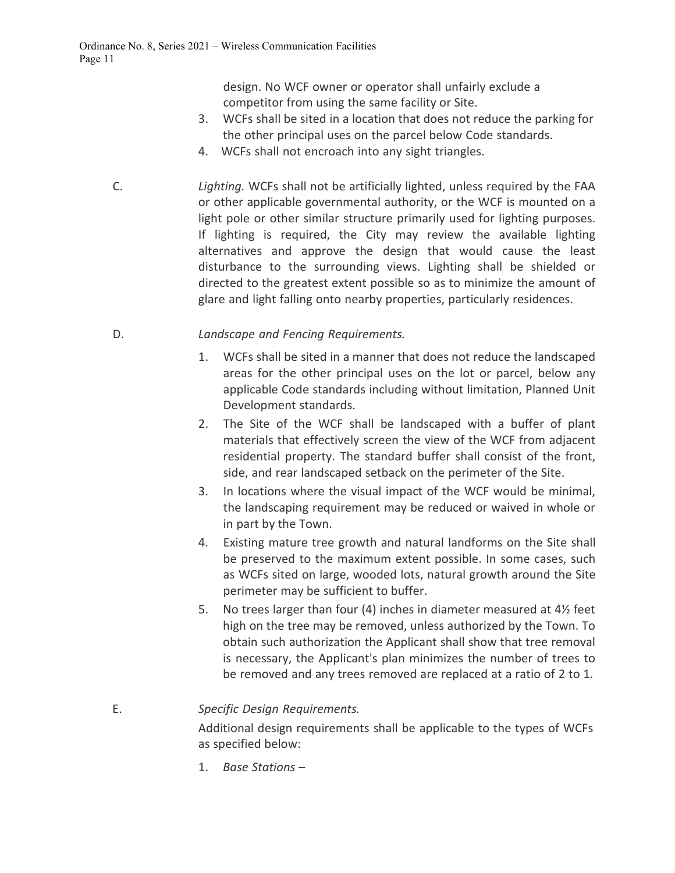design. No WCF owner or operator shall unfairly exclude a competitor from using the same facility or Site.

- 3. WCFs shall be sited in a location that does not reduce the parking for the other principal uses on the parcel below Code standards.
- 4. WCFs shall not encroach into any sight triangles.
- C. *Lighting.* WCFs shall not be artificially lighted, unless required by the FAA or other applicable governmental authority, or the WCF is mounted on a light pole or other similar structure primarily used for lighting purposes. If lighting is required, the City may review the available lighting alternatives and approve the design that would cause the least disturbance to the surrounding views. Lighting shall be shielded or directed to the greatest extent possible so as to minimize the amount of glare and light falling onto nearby properties, particularly residences.

## D. *Landscape and Fencing Requirements.*

- 1. WCFs shall be sited in a manner that does not reduce the landscaped areas for the other principal uses on the lot or parcel, below any applicable Code standards including without limitation, Planned Unit Development standards.
- 2. The Site of the WCF shall be landscaped with a buffer of plant materials that effectively screen the view of the WCF from adjacent residential property. The standard buffer shall consist of the front, side, and rear landscaped setback on the perimeter of the Site.
- 3. In locations where the visual impact of the WCF would be minimal, the landscaping requirement may be reduced or waived in whole or in part by the Town.
- 4. Existing mature tree growth and natural landforms on the Site shall be preserved to the maximum extent possible. In some cases, such as WCFs sited on large, wooded lots, natural growth around the Site perimeter may be sufficient to buffer.
- 5. No trees larger than four (4) inches in diameter measured at 4½ feet high on the tree may be removed, unless authorized by the Town. To obtain such authorization the Applicant shall show that tree removal is necessary, the Applicant's plan minimizes the number of trees to be removed and any trees removed are replaced at a ratio of 2 to 1.

E. *Specific Design Requirements.*

Additional design requirements shall be applicable to the types of WCFs as specified below:

1. *Base Stations* –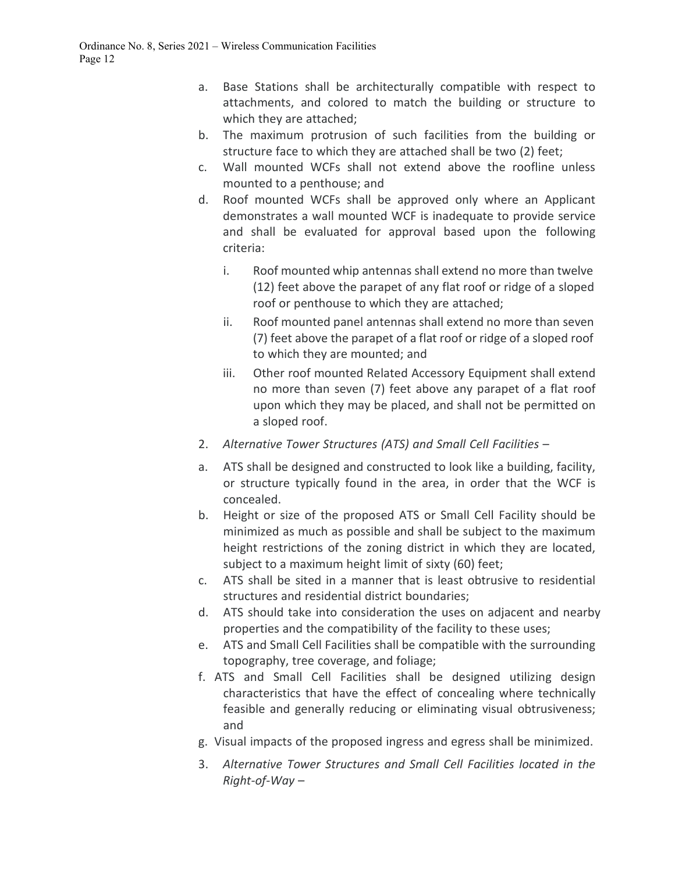- a. Base Stations shall be architecturally compatible with respect to attachments, and colored to match the building or structure to which they are attached;
- b. The maximum protrusion of such facilities from the building or structure face to which they are attached shall be two (2) feet;
- c. Wall mounted WCFs shall not extend above the roofline unless mounted to a penthouse; and
- d. Roof mounted WCFs shall be approved only where an Applicant demonstrates a wall mounted WCF is inadequate to provide service and shall be evaluated for approval based upon the following criteria:
	- i. Roof mounted whip antennas shall extend no more than twelve (12) feet above the parapet of any flat roof or ridge of a sloped roof or penthouse to which they are attached;
	- ii. Roof mounted panel antennas shall extend no more than seven (7) feet above the parapet of a flat roof or ridge of a sloped roof to which they are mounted; and
	- iii. Other roof mounted Related Accessory Equipment shall extend no more than seven (7) feet above any parapet of a flat roof upon which they may be placed, and shall not be permitted on a sloped roof.
- 2. *Alternative Tower Structures (ATS) and Small Cell Facilities* –
- a. ATS shall be designed and constructed to look like a building, facility, or structure typically found in the area, in order that the WCF is concealed.
- b. Height or size of the proposed ATS or Small Cell Facility should be minimized as much as possible and shall be subject to the maximum height restrictions of the zoning district in which they are located, subject to a maximum height limit of sixty (60) feet;
- c. ATS shall be sited in a manner that is least obtrusive to residential structures and residential district boundaries;
- d. ATS should take into consideration the uses on adjacent and nearby properties and the compatibility of the facility to these uses;
- e. ATS and Small Cell Facilities shall be compatible with the surrounding topography, tree coverage, and foliage;
- f. ATS and Small Cell Facilities shall be designed utilizing design characteristics that have the effect of concealing where technically feasible and generally reducing or eliminating visual obtrusiveness; and
- g. Visual impacts of the proposed ingress and egress shall be minimized.
- 3. *Alternative Tower Structures and Small Cell Facilities located in the Right-of-Way* –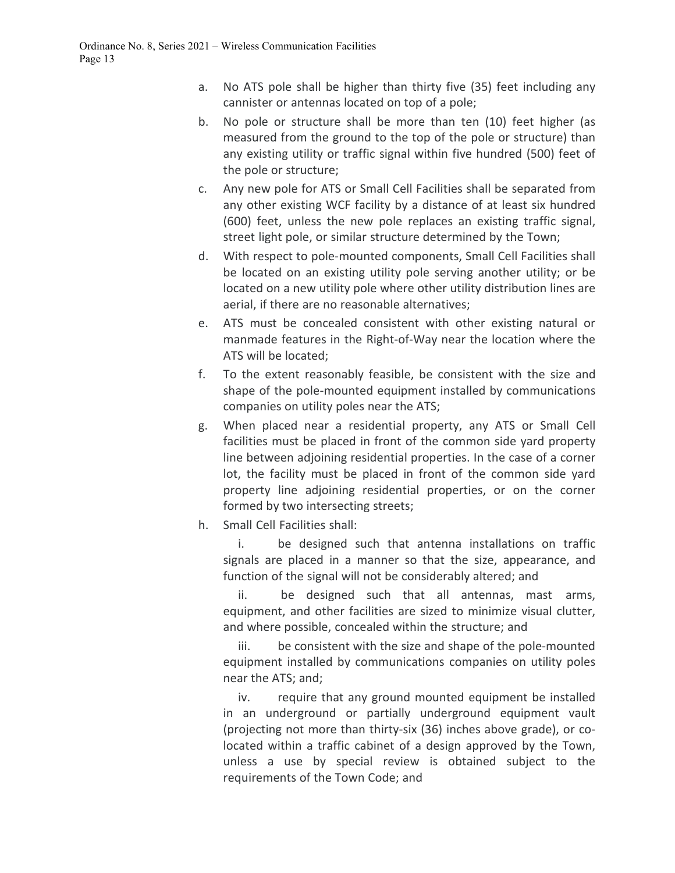- a. No ATS pole shall be higher than thirty five (35) feet including any cannister or antennas located on top of a pole;
- b. No pole or structure shall be more than ten (10) feet higher (as measured from the ground to the top of the pole or structure) than any existing utility or traffic signal within five hundred (500) feet of the pole or structure;
- c. Any new pole for ATS or Small Cell Facilities shall be separated from any other existing WCF facility by a distance of at least six hundred (600) feet, unless the new pole replaces an existing traffic signal, street light pole, or similar structure determined by the Town;
- d. With respect to pole-mounted components, Small Cell Facilities shall be located on an existing utility pole serving another utility; or be located on a new utility pole where other utility distribution lines are aerial, if there are no reasonable alternatives;
- e. ATS must be concealed consistent with other existing natural or manmade features in the Right-of-Way near the location where the ATS will be located;
- f. To the extent reasonably feasible, be consistent with the size and shape of the pole-mounted equipment installed by communications companies on utility poles near the ATS;
- g. When placed near a residential property, any ATS or Small Cell facilities must be placed in front of the common side yard property line between adjoining residential properties. In the case of a corner lot, the facility must be placed in front of the common side yard property line adjoining residential properties, or on the corner formed by two intersecting streets;
- h. Small Cell Facilities shall:

i. be designed such that antenna installations on traffic signals are placed in a manner so that the size, appearance, and function of the signal will not be considerably altered; and

ii. be designed such that all antennas, mast arms, equipment, and other facilities are sized to minimize visual clutter, and where possible, concealed within the structure; and

iii. be consistent with the size and shape of the pole-mounted equipment installed by communications companies on utility poles near the ATS; and;

iv. require that any ground mounted equipment be installed in an underground or partially underground equipment vault (projecting not more than thirty-six (36) inches above grade), or colocated within a traffic cabinet of a design approved by the Town, unless a use by special review is obtained subject to the requirements of the Town Code; and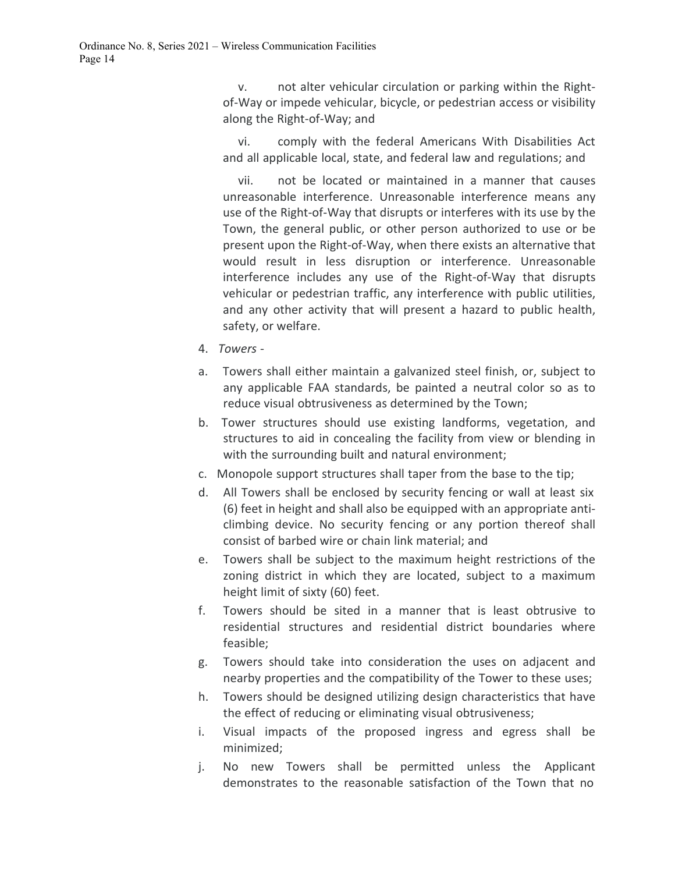v. not alter vehicular circulation or parking within the Rightof-Way or impede vehicular, bicycle, or pedestrian access or visibility along the Right-of-Way; and

vi. comply with the federal Americans With Disabilities Act and all applicable local, state, and federal law and regulations; and

vii. not be located or maintained in a manner that causes unreasonable interference. Unreasonable interference means any use of the Right-of-Way that disrupts or interferes with its use by the Town, the general public, or other person authorized to use or be present upon the Right-of-Way, when there exists an alternative that would result in less disruption or interference. Unreasonable interference includes any use of the Right-of-Way that disrupts vehicular or pedestrian traffic, any interference with public utilities, and any other activity that will present a hazard to public health, safety, or welfare.

- 4. *Towers* -
- a. Towers shall either maintain a galvanized steel finish, or, subject to any applicable FAA standards, be painted a neutral color so as to reduce visual obtrusiveness as determined by the Town;
- b. Tower structures should use existing landforms, vegetation, and structures to aid in concealing the facility from view or blending in with the surrounding built and natural environment;
- c. Monopole support structures shall taper from the base to the tip;
- d. All Towers shall be enclosed by security fencing or wall at least six (6) feet in height and shall also be equipped with an appropriate anticlimbing device. No security fencing or any portion thereof shall consist of barbed wire or chain link material; and
- e. Towers shall be subject to the maximum height restrictions of the zoning district in which they are located, subject to a maximum height limit of sixty (60) feet.
- f. Towers should be sited in a manner that is least obtrusive to residential structures and residential district boundaries where feasible;
- g. Towers should take into consideration the uses on adjacent and nearby properties and the compatibility of the Tower to these uses;
- h. Towers should be designed utilizing design characteristics that have the effect of reducing or eliminating visual obtrusiveness;
- i. Visual impacts of the proposed ingress and egress shall be minimized;
- j. No new Towers shall be permitted unless the Applicant demonstrates to the reasonable satisfaction of the Town that no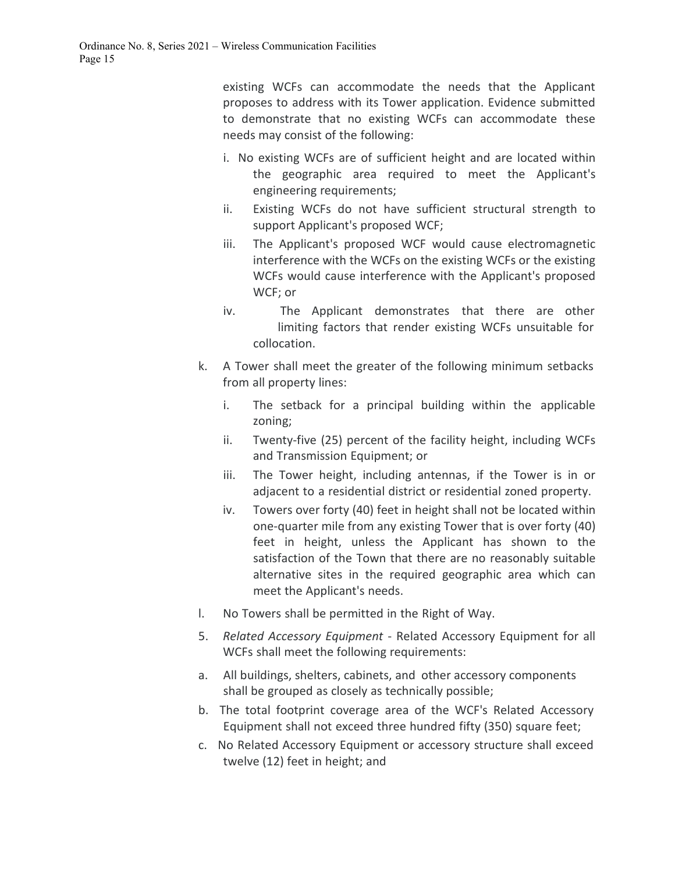existing WCFs can accommodate the needs that the Applicant proposes to address with its Tower application. Evidence submitted to demonstrate that no existing WCFs can accommodate these needs may consist of the following:

- i. No existing WCFs are of sufficient height and are located within the geographic area required to meet the Applicant's engineering requirements;
- ii. Existing WCFs do not have sufficient structural strength to support Applicant's proposed WCF;
- iii. The Applicant's proposed WCF would cause electromagnetic interference with the WCFs on the existing WCFs or the existing WCFs would cause interference with the Applicant's proposed WCF; or
- iv. The Applicant demonstrates that there are other limiting factors that render existing WCFs unsuitable for collocation.
- k. A Tower shall meet the greater of the following minimum setbacks from all property lines:
	- i. The setback for a principal building within the applicable zoning;
	- ii. Twenty-five (25) percent of the facility height, including WCFs and Transmission Equipment; or
	- iii. The Tower height, including antennas, if the Tower is in or adjacent to a residential district or residential zoned property.
	- iv. Towers over forty (40) feet in height shall not be located within one-quarter mile from any existing Tower that is over forty (40) feet in height, unless the Applicant has shown to the satisfaction of the Town that there are no reasonably suitable alternative sites in the required geographic area which can meet the Applicant's needs.
- l. No Towers shall be permitted in the Right of Way.
- 5. *Related Accessory Equipment*  Related Accessory Equipment for all WCFs shall meet the following requirements:
- a. All buildings, shelters, cabinets, and other accessory components shall be grouped as closely as technically possible;
- b. The total footprint coverage area of the WCF's Related Accessory Equipment shall not exceed three hundred fifty (350) square feet;
- c. No Related Accessory Equipment or accessory structure shall exceed twelve (12) feet in height; and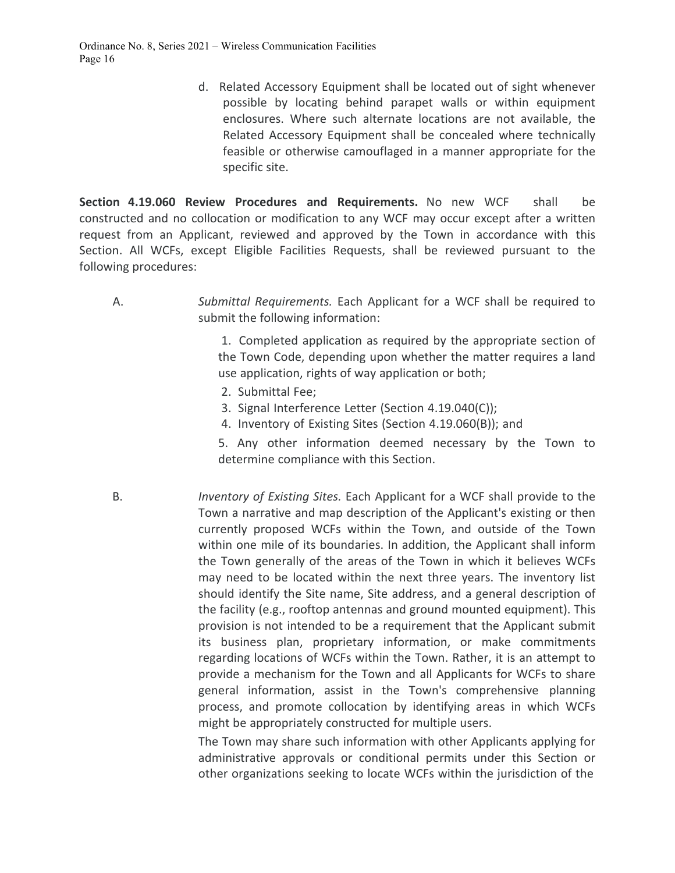d. Related Accessory Equipment shall be located out of sight whenever possible by locating behind parapet walls or within equipment enclosures. Where such alternate locations are not available, the Related Accessory Equipment shall be concealed where technically feasible or otherwise camouflaged in a manner appropriate for the specific site.

**Section 4.19.060 Review Procedures and Requirements.** No new WCF shall be constructed and no collocation or modification to any WCF may occur except after a written request from an Applicant, reviewed and approved by the Town in accordance with this Section. All WCFs, except Eligible Facilities Requests, shall be reviewed pursuant to the following procedures:

A. *Submittal Requirements.* Each Applicant for a WCF shall be required to submit the following information:

> 1. Completed application as required by the appropriate section of the Town Code, depending upon whether the matter requires a land use application, rights of way application or both;

- 2. Submittal Fee;
- 3. Signal Interference Letter (Section 4.19.040(C));
- 4. Inventory of Existing Sites (Section 4.19.060(B)); and

5. Any other information deemed necessary by the Town to determine compliance with this Section.

B. *Inventory of Existing Sites.* Each Applicant for a WCF shall provide to the Town a narrative and map description of the Applicant's existing or then currently proposed WCFs within the Town, and outside of the Town within one mile of its boundaries. In addition, the Applicant shall inform the Town generally of the areas of the Town in which it believes WCFs may need to be located within the next three years. The inventory list should identify the Site name, Site address, and a general description of the facility (e.g., rooftop antennas and ground mounted equipment). This provision is not intended to be a requirement that the Applicant submit its business plan, proprietary information, or make commitments regarding locations of WCFs within the Town. Rather, it is an attempt to provide a mechanism for the Town and all Applicants for WCFs to share general information, assist in the Town's comprehensive planning process, and promote collocation by identifying areas in which WCFs might be appropriately constructed for multiple users.

> The Town may share such information with other Applicants applying for administrative approvals or conditional permits under this Section or other organizations seeking to locate WCFs within the jurisdiction of the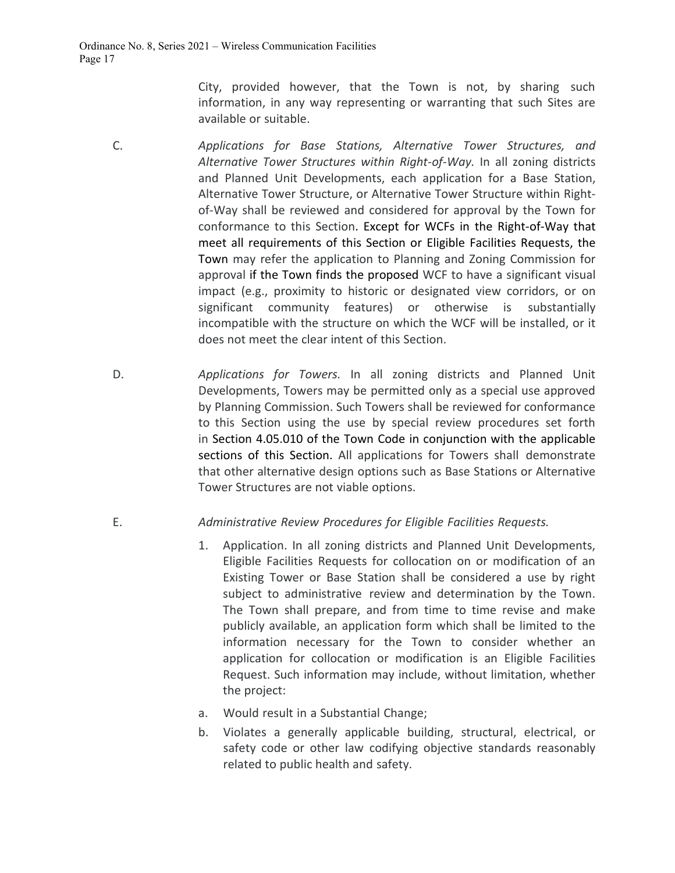City, provided however, that the Town is not, by sharing such information, in any way representing or warranting that such Sites are available or suitable.

- C. *Applications for Base Stations, Alternative Tower Structures, and Alternative Tower Structures within Right-of-Way.* In all zoning districts and Planned Unit Developments, each application for a Base Station, Alternative Tower Structure, or Alternative Tower Structure within Rightof-Way shall be reviewed and considered for approval by the Town for conformance to this Section. Except for WCFs in the Right-of-Way that meet all requirements of this Section or Eligible Facilities Requests, the Town may refer the application to Planning and Zoning Commission for approval if the Town finds the proposed WCF to have a significant visual impact (e.g., proximity to historic or designated view corridors, or on significant community features) or otherwise is substantially incompatible with the structure on which the WCF will be installed, or it does not meet the clear intent of this Section.
- D. *Applications for Towers.* In all zoning districts and Planned Unit Developments, Towers may be permitted only as a special use approved by Planning Commission. Such Towers shall be reviewed for conformance to this Section using the use by special review procedures set forth in Section 4.05.010 of the Town Code in conjunction with the applicable sections of this Section. All applications for Towers shall demonstrate that other alternative design options such as Base Stations or Alternative Tower Structures are not viable options.

## E. *Administrative Review Procedures for Eligible Facilities Requests.*

- 1. Application. In all zoning districts and Planned Unit Developments, Eligible Facilities Requests for collocation on or modification of an Existing Tower or Base Station shall be considered a use by right subject to administrative review and determination by the Town. The Town shall prepare, and from time to time revise and make publicly available, an application form which shall be limited to the information necessary for the Town to consider whether an application for collocation or modification is an Eligible Facilities Request. Such information may include, without limitation, whether the project:
- a. Would result in a Substantial Change;
- b. Violates a generally applicable building, structural, electrical, or safety code or other law codifying objective standards reasonably related to public health and safety.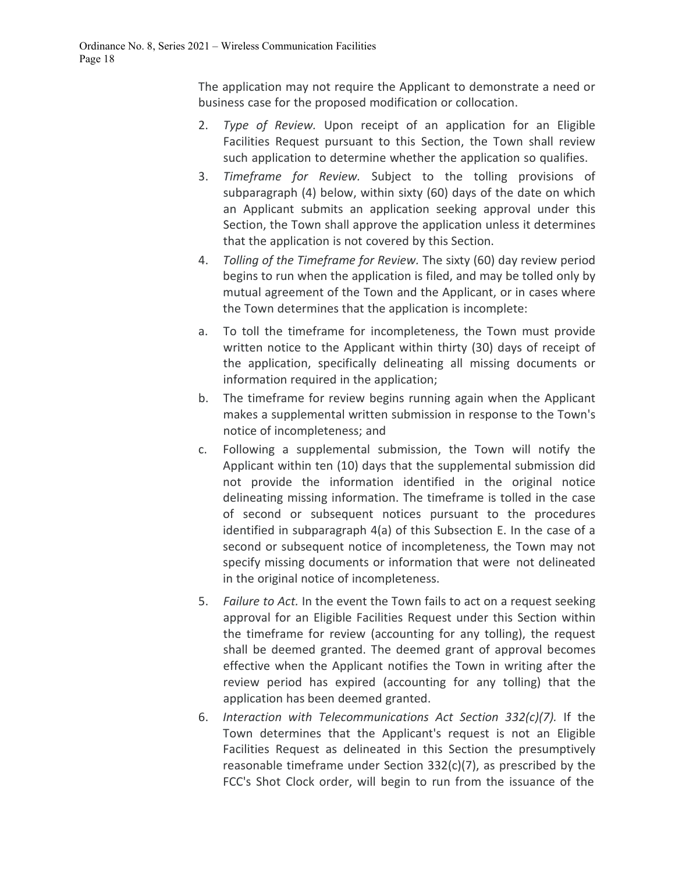The application may not require the Applicant to demonstrate a need or business case for the proposed modification or collocation.

- 2. *Type of Review.* Upon receipt of an application for an Eligible Facilities Request pursuant to this Section, the Town shall review such application to determine whether the application so qualifies.
- 3. *Timeframe for Review.* Subject to the tolling provisions of subparagraph (4) below, within sixty (60) days of the date on which an Applicant submits an application seeking approval under this Section, the Town shall approve the application unless it determines that the application is not covered by this Section.
- 4. *Tolling of the Timeframe for Review.* The sixty (60) day review period begins to run when the application is filed, and may be tolled only by mutual agreement of the Town and the Applicant, or in cases where the Town determines that the application is incomplete:
- a. To toll the timeframe for incompleteness, the Town must provide written notice to the Applicant within thirty (30) days of receipt of the application, specifically delineating all missing documents or information required in the application;
- b. The timeframe for review begins running again when the Applicant makes a supplemental written submission in response to the Town's notice of incompleteness; and
- c. Following a supplemental submission, the Town will notify the Applicant within ten (10) days that the supplemental submission did not provide the information identified in the original notice delineating missing information. The timeframe is tolled in the case of second or subsequent notices pursuant to the procedures identified in subparagraph 4(a) of this Subsection E. In the case of a second or subsequent notice of incompleteness, the Town may not specify missing documents or information that were not delineated in the original notice of incompleteness.
- 5. *Failure to Act.* In the event the Town fails to act on a request seeking approval for an Eligible Facilities Request under this Section within the timeframe for review (accounting for any tolling), the request shall be deemed granted. The deemed grant of approval becomes effective when the Applicant notifies the Town in writing after the review period has expired (accounting for any tolling) that the application has been deemed granted.
- 6. *Interaction with Telecommunications Act Section 332(c)(7).* If the Town determines that the Applicant's request is not an Eligible Facilities Request as delineated in this Section the presumptively reasonable timeframe under Section 332(c)(7), as prescribed by the FCC's Shot Clock order, will begin to run from the issuance of the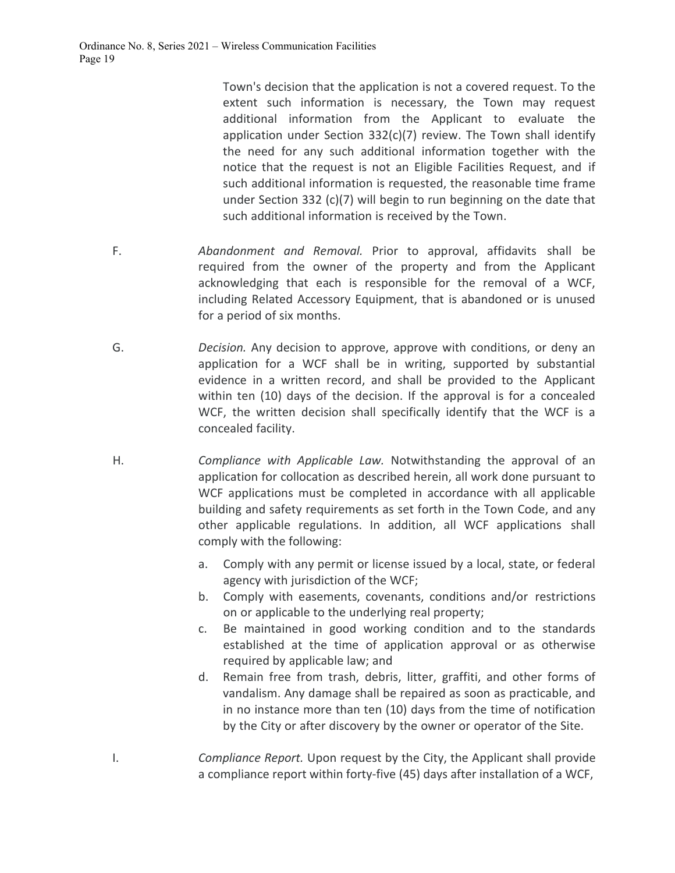Town's decision that the application is not a covered request. To the extent such information is necessary, the Town may request additional information from the Applicant to evaluate the application under Section 332(c)(7) review. The Town shall identify the need for any such additional information together with the notice that the request is not an Eligible Facilities Request, and if such additional information is requested, the reasonable time frame under Section 332 (c)(7) will begin to run beginning on the date that such additional information is received by the Town.

- F. *Abandonment and Removal.* Prior to approval, affidavits shall be required from the owner of the property and from the Applicant acknowledging that each is responsible for the removal of a WCF, including Related Accessory Equipment, that is abandoned or is unused for a period of six months.
- G. *Decision.* Any decision to approve, approve with conditions, or deny an application for a WCF shall be in writing, supported by substantial evidence in a written record, and shall be provided to the Applicant within ten (10) days of the decision. If the approval is for a concealed WCF, the written decision shall specifically identify that the WCF is a concealed facility.
- H. *Compliance with Applicable Law.* Notwithstanding the approval of an application for collocation as described herein, all work done pursuant to WCF applications must be completed in accordance with all applicable building and safety requirements as set forth in the Town Code, and any other applicable regulations. In addition, all WCF applications shall comply with the following:
	- a. Comply with any permit or license issued by a local, state, or federal agency with jurisdiction of the WCF;
	- b. Comply with easements, covenants, conditions and/or restrictions on or applicable to the underlying real property;
	- c. Be maintained in good working condition and to the standards established at the time of application approval or as otherwise required by applicable law; and
	- d. Remain free from trash, debris, litter, graffiti, and other forms of vandalism. Any damage shall be repaired as soon as practicable, and in no instance more than ten (10) days from the time of notification by the City or after discovery by the owner or operator of the Site.
- I. *Compliance Report.* Upon request by the City, the Applicant shall provide a compliance report within forty-five (45) days after installation of a WCF,